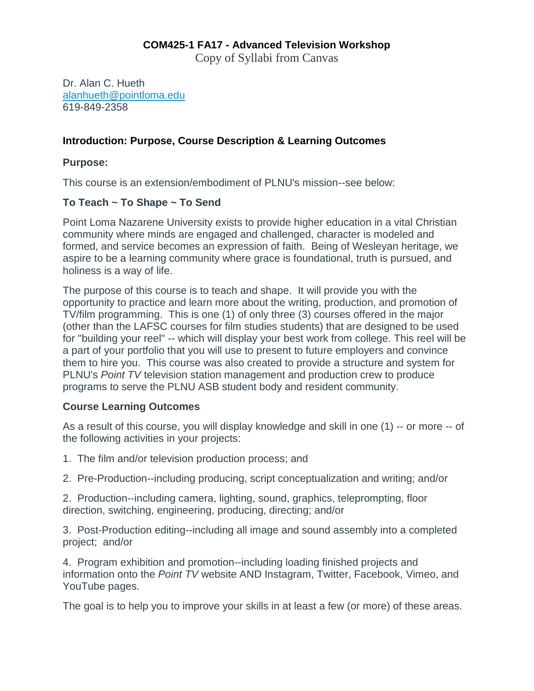## **COM425-1 FA17 - Advanced Television Workshop**

Copy of Syllabi from Canvas

Dr. Alan C. Hueth [alanhueth@pointloma.edu](mailto:alanhueth@pointloma.edu) 619-849-2358

## **Introduction: Purpose, Course Description & Learning Outcomes**

#### **Purpose:**

This course is an extension/embodiment of PLNU's mission--see below:

## **To Teach ~ To Shape ~ To Send**

Point Loma Nazarene University exists to provide higher education in a vital Christian community where minds are engaged and challenged, character is modeled and formed, and service becomes an expression of faith. Being of Wesleyan heritage, we aspire to be a learning community where grace is foundational, truth is pursued, and holiness is a way of life.

The purpose of this course is to teach and shape. It will provide you with the opportunity to practice and learn more about the writing, production, and promotion of TV/film programming. This is one (1) of only three (3) courses offered in the major (other than the LAFSC courses for film studies students) that are designed to be used for "building your reel" -- which will display your best work from college. This reel will be a part of your portfolio that you will use to present to future employers and convince them to hire you. This course was also created to provide a structure and system for PLNU's *Point TV* television station management and production crew to produce programs to serve the PLNU ASB student body and resident community.

#### **Course Learning Outcomes**

As a result of this course, you will display knowledge and skill in one (1) -- or more -- of the following activities in your projects:

- 1. The film and/or television production process; and
- 2. Pre-Production--including producing, script conceptualization and writing; and/or

2. Production--including camera, lighting, sound, graphics, teleprompting, floor direction, switching, engineering, producing, directing; and/or

3. Post-Production editing--including all image and sound assembly into a completed project; and/or

4. Program exhibition and promotion--including loading finished projects and information onto the *Point TV* website AND Instagram, Twitter, Facebook, Vimeo, and YouTube pages.

The goal is to help you to improve your skills in at least a few (or more) of these areas.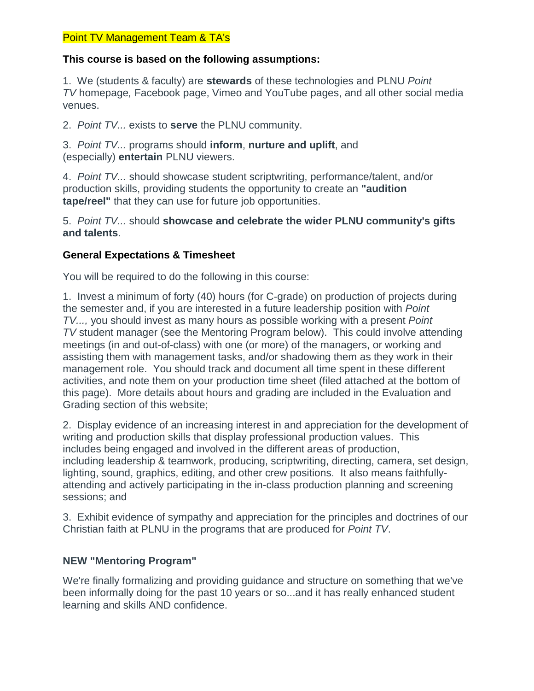## Point TV Management Team & TA's

## **This course is based on the following assumptions:**

1. We (students & faculty) are **stewards** of these technologies and PLNU *Point TV* homepage*,* Facebook page, Vimeo and YouTube pages, and all other social media venues.

2. *Point TV...* exists to **serve** the PLNU community.

3. *Point TV...* programs should **inform**, **nurture and uplift**, and (especially) **entertain** PLNU viewers.

4. *Point TV...* should showcase student scriptwriting, performance/talent, and/or production skills, providing students the opportunity to create an **"audition tape/reel"** that they can use for future job opportunities.

5. *Point TV...* should **showcase and celebrate the wider PLNU community's gifts and talents**.

# **General Expectations & Timesheet**

You will be required to do the following in this course:

1. Invest a minimum of forty (40) hours (for C-grade) on production of projects during the semester and, if you are interested in a future leadership position with *Point TV...,* you should invest as many hours as possible working with a present *Point TV* student manager (see the Mentoring Program below). This could involve attending meetings (in and out-of-class) with one (or more) of the managers, or working and assisting them with management tasks, and/or shadowing them as they work in their management role. You should track and document all time spent in these different activities, and note them on your production time sheet (filed attached at the bottom of this page). More details about hours and grading are included in the Evaluation and Grading section of this website;

2. Display evidence of an increasing interest in and appreciation for the development of writing and production skills that display professional production values. This includes being engaged and involved in the different areas of production, including leadership & teamwork, producing, scriptwriting, directing, camera, set design, lighting, sound, graphics, editing, and other crew positions. It also means faithfullyattending and actively participating in the in-class production planning and screening sessions; and

3. Exhibit evidence of sympathy and appreciation for the principles and doctrines of our Christian faith at PLNU in the programs that are produced for *Point TV*.

# **NEW "Mentoring Program"**

We're finally formalizing and providing guidance and structure on something that we've been informally doing for the past 10 years or so...and it has really enhanced student learning and skills AND confidence.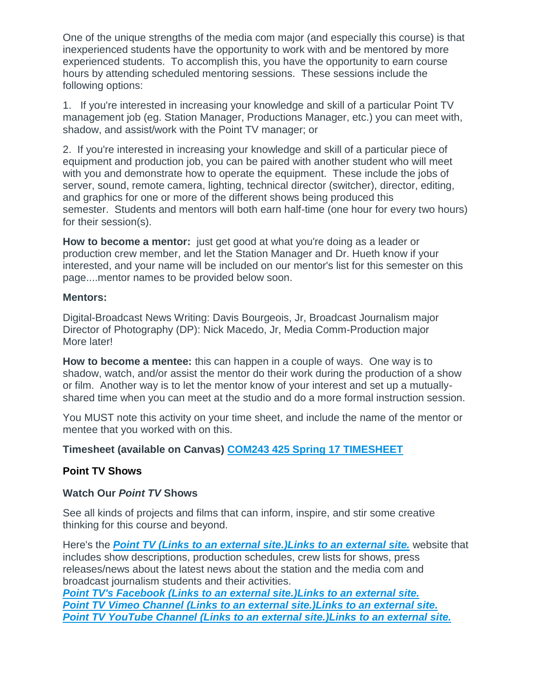One of the unique strengths of the media com major (and especially this course) is that inexperienced students have the opportunity to work with and be mentored by more experienced students. To accomplish this, you have the opportunity to earn course hours by attending scheduled mentoring sessions. These sessions include the following options:

1. If you're interested in increasing your knowledge and skill of a particular Point TV management job (eg. Station Manager, Productions Manager, etc.) you can meet with, shadow, and assist/work with the Point TV manager; or

2. If you're interested in increasing your knowledge and skill of a particular piece of equipment and production job, you can be paired with another student who will meet with you and demonstrate how to operate the equipment. These include the jobs of server, sound, remote camera, lighting, technical director (switcher), director, editing, and graphics for one or more of the different shows being produced this semester. Students and mentors will both earn half-time (one hour for every two hours) for their session(s).

**How to become a mentor:** just get good at what you're doing as a leader or production crew member, and let the Station Manager and Dr. Hueth know if your interested, and your name will be included on our mentor's list for this semester on this page....mentor names to be provided below soon.

#### **Mentors:**

Digital-Broadcast News Writing: Davis Bourgeois, Jr, Broadcast Journalism major Director of Photography (DP): Nick Macedo, Jr, Media Comm-Production major More later!

**How to become a mentee:** this can happen in a couple of ways. One way is to shadow, watch, and/or assist the mentor do their work during the production of a show or film. Another way is to let the mentor know of your interest and set up a mutuallyshared time when you can meet at the studio and do a more formal instruction session.

You MUST note this activity on your time sheet, and include the name of the mentor or mentee that you worked with on this.

# **Timesheet (available on Canvas) [COM243 425 Spring](https://canvas.pointloma.edu/courses/34293/files/1425689/download) 17 TIMESHEET**

## **Point TV Shows**

## **Watch Our** *Point TV* **Shows**

See all kinds of projects and films that can inform, inspire, and stir some creative thinking for this course and beyond.

Here's the *Point TV (Links to an external [site.\)Links](http://pointtv23.com/com425and243/) to an external site.* website that includes show descriptions, production schedules, crew lists for shows, press releases/news about the latest news about the station and the media com and broadcast journalism students and their activities.

*[Point TV's Facebook](https://www.facebook.com/pages/Point-TV/447038881997027?ref=hl) (Links to an external site.)Links to an external site. Point TV [Vimeo Channel](http://vimeo.com/channels/pointtv/52421676) (Links to an external site.)Links to an external site. [Point TV YouTube Channel](https://www.youtube.com/channel/UCbSHEdR_GA73Wpay3g4OuBQ) (Links to an external site.)Links to an external site.*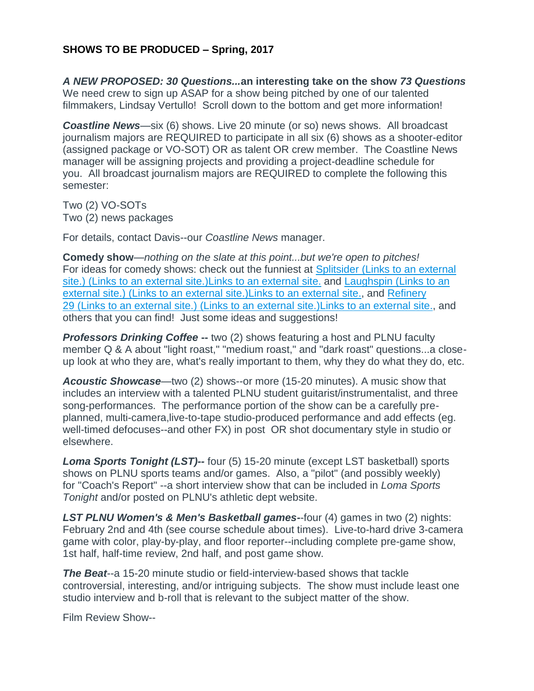# **SHOWS TO BE PRODUCED – Spring, 2017**

*A NEW PROPOSED: 30 Questions...***an interesting take on the show** *73 Questions* We need crew to sign up ASAP for a show being pitched by one of our talented filmmakers, Lindsay Vertullo! Scroll down to the bottom and get more information!

*Coastline News*—six (6) shows. Live 20 minute (or so) news shows. All broadcast journalism majors are REQUIRED to participate in all six (6) shows as a shooter-editor (assigned package or VO-SOT) OR as talent OR crew member. The Coastline News manager will be assigning projects and providing a project-deadline schedule for you. All broadcast journalism majors are REQUIRED to complete the following this semester:

Two (2) VO-SOTs Two (2) news packages

For details, contact Davis--our *Coastline News* manager.

**Comedy show**—*nothing on the slate at this point...but we're open to pitches!* For ideas for comedy shows: check out the funniest at Splitsider [\(Links to an external](http://splitsider.com/2013/07/the-11-best-video-sketch-groups-on-the-internet/)  site.) (Links to an external [site.\)Links](http://splitsider.com/2013/07/the-11-best-video-sketch-groups-on-the-internet/) to an external site. and Laughspin [\(Links to an](http://www.laughspin.com/2011/07/26/eleven-web-shows-that-should-be-television-shows/)  [external site.\)](http://www.laughspin.com/2011/07/26/eleven-web-shows-that-should-be-television-shows/) (Links to an external site.)Links to an external site., and [Refinery](http://www.refinery29.com/2014/04/66133/best-internet-series)  29 [\(Links to an external site.\)](http://www.refinery29.com/2014/04/66133/best-internet-series) (Links to an external site.)Links to an external site., and others that you can find! Just some ideas and suggestions!

**Professors Drinking Coffee --** two (2) shows featuring a host and PLNU faculty member Q & A about "light roast," "medium roast," and "dark roast" questions...a closeup look at who they are, what's really important to them, why they do what they do, etc.

*Acoustic Showcase*—two (2) shows--or more (15-20 minutes). A music show that includes an interview with a talented PLNU student guitarist/instrumentalist, and three song-performances. The performance portion of the show can be a carefully preplanned, multi-camera,live-to-tape studio-produced performance and add effects (eg. well-timed defocuses--and other FX) in post OR shot documentary style in studio or elsewhere.

*Loma Sports Tonight (LST)--* four (5) 15-20 minute (except LST basketball) sports shows on PLNU sports teams and/or games. Also, a "pilot" (and possibly weekly) for "Coach's Report" --a short interview show that can be included in *Loma Sports Tonight* and/or posted on PLNU's athletic dept website.

*LST PLNU Women's & Men's Basketball games-*-four (4) games in two (2) nights: February 2nd and 4th (see course schedule about times). Live-to-hard drive 3-camera game with color, play-by-play, and floor reporter--including complete pre-game show, 1st half, half-time review, 2nd half, and post game show.

*The Beat*--a 15-20 minute studio or field-interview-based shows that tackle controversial, interesting, and/or intriguing subjects. The show must include least one studio interview and b-roll that is relevant to the subject matter of the show.

Film Review Show--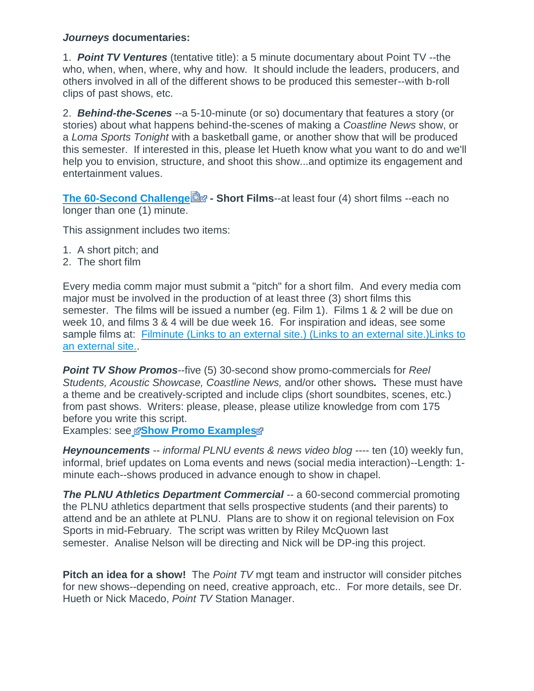#### *Journeys* **documentaries:**

1. *Point TV Ventures* (tentative title): a 5 minute documentary about Point TV --the who, when, when, where, why and how. It should include the leaders, producers, and others involved in all of the different shows to be produced this semester--with b-roll clips of past shows, etc.

2. *Behind-the-Scenes* --a 5-10-minute (or so) documentary that features a story (or stories) about what happens behind-the-scenes of making a *Coastline News* show, or a *Loma Sports Tonight* with a basketball game, or another show that will be produced this semester. If interested in this, please let Hueth know what you want to do and we'll help you to envision, structure, and shoot this show...and optimize its engagement and entertainment values.

**[The 60-Second Challenge](https://canvas.pointloma.edu/courses/34293/files/1425688/download?wrap=1) a** - Short Films--at least four (4) short films --each no longer than one (1) minute.

This assignment includes two items:

- 1. A short pitch; and
- 2. The short film

Every media comm major must submit a "pitch" for a short film. And every media com major must be involved in the production of at least three (3) short films this semester. The films will be issued a number (eg. Film 1). Films 1 & 2 will be due on week 10, and films 3 & 4 will be due week 16. For inspiration and ideas, see some sample films at: Filminute [\(Links to an external site.\)](http://www.filminute.com/films/2014/tuck-me-in/) (Links to an external site.) Links to an [external](http://www.filminute.com/films/2014/tuck-me-in/) site..

*Point TV Show Promos*--five (5) 30-second show promo-commercials for *Reel Students, Acoustic Showcase, Coastline News,* and/or other shows*.* These must have a theme and be creatively-scripted and include clips (short soundbites, scenes, etc.) from past shows. Writers: please, please, please utilize knowledge from com 175 before you write this script.

Exampl[e](https://canvas.pointloma.edu/courses/34293/files/1425683/download?wrap=1)s: see **B[Show Promo Examples](https://canvas.pointloma.edu/courses/34293/files/1425675/download?wrap=1)** 

*Heynouncements* -- *informal PLNU events & news video blog* ---- ten (10) weekly fun, informal, brief updates on Loma events and news (social media interaction)--Length: 1 minute each--shows produced in advance enough to show in chapel.

**The PLNU Athletics Department Commercial** -- a 60-second commercial promoting the PLNU athletics department that sells prospective students (and their parents) to attend and be an athlete at PLNU. Plans are to show it on regional television on Fox Sports in mid-February. The script was written by Riley McQuown last semester. Analise Nelson will be directing and Nick will be DP-ing this project.

**Pitch an idea for a show!** The *Point TV* mgt team and instructor will consider pitches for new shows--depending on need, creative approach, etc.. For more details, see Dr. Hueth or Nick Macedo, *Point TV* Station Manager.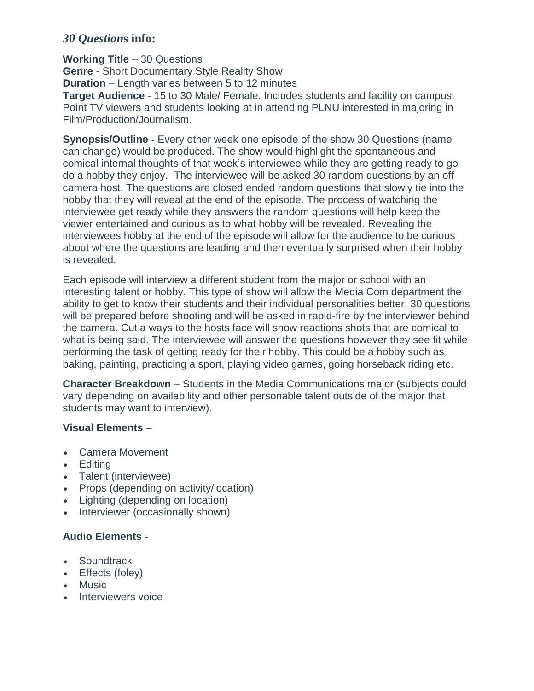# *30 Question***s info:**

**Working Title** – 30 Questions **Genre** - Short Documentary Style Reality Show **Duration** – Length varies between 5 to 12 minutes **Target Audience** - 15 to 30 Male/ Female. Includes students and facility on campus, Point TV viewers and students looking at in attending PLNU interested in majoring in Film/Production/Journalism.

**Synopsis/Outline** - Every other week one episode of the show 30 Questions (name can change) would be produced. The show would highlight the spontaneous and comical internal thoughts of that week's interviewee while they are getting ready to go do a hobby they enjoy. The interviewee will be asked 30 random questions by an off camera host. The questions are closed ended random questions that slowly tie into the hobby that they will reveal at the end of the episode. The process of watching the interviewee get ready while they answers the random questions will help keep the viewer entertained and curious as to what hobby will be revealed. Revealing the interviewees hobby at the end of the episode will allow for the audience to be curious about where the questions are leading and then eventually surprised when their hobby is revealed.

Each episode will interview a different student from the major or school with an interesting talent or hobby. This type of show will allow the Media Com department the ability to get to know their students and their individual personalities better. 30 questions will be prepared before shooting and will be asked in rapid-fire by the interviewer behind the camera. Cut a ways to the hosts face will show reactions shots that are comical to what is being said. The interviewee will answer the questions however they see fit while performing the task of getting ready for their hobby. This could be a hobby such as baking, painting, practicing a sport, playing video games, going horseback riding etc.

**Character Breakdown** – Students in the Media Communications major (subjects could vary depending on availability and other personable talent outside of the major that students may want to interview).

# **Visual Elements** –

- Camera Movement
- Editing
- Talent (interviewee)
- Props (depending on activity/location)
- Lighting (depending on location)
- Interviewer (occasionally shown)

# **Audio Elements** -

- Soundtrack
- Effects (foley)
- Music
- Interviewers voice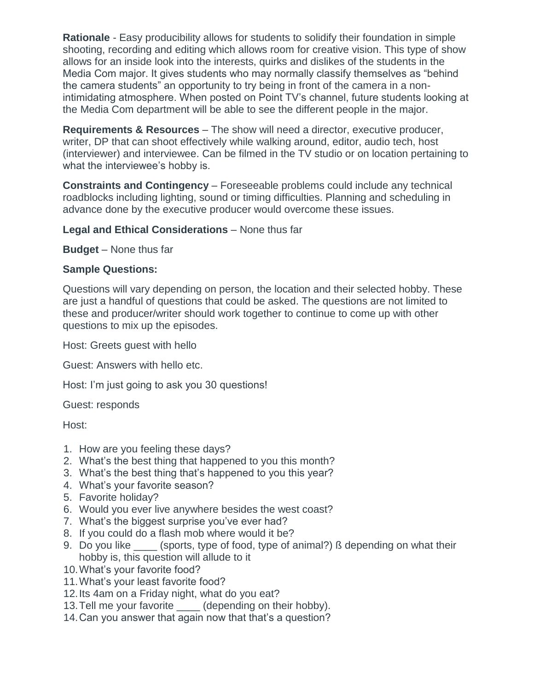**Rationale** - Easy producibility allows for students to solidify their foundation in simple shooting, recording and editing which allows room for creative vision. This type of show allows for an inside look into the interests, quirks and dislikes of the students in the Media Com major. It gives students who may normally classify themselves as "behind the camera students" an opportunity to try being in front of the camera in a nonintimidating atmosphere. When posted on Point TV's channel, future students looking at the Media Com department will be able to see the different people in the major.

**Requirements & Resources** – The show will need a director, executive producer, writer, DP that can shoot effectively while walking around, editor, audio tech, host (interviewer) and interviewee. Can be filmed in the TV studio or on location pertaining to what the interviewee's hobby is.

**Constraints and Contingency** – Foreseeable problems could include any technical roadblocks including lighting, sound or timing difficulties. Planning and scheduling in advance done by the executive producer would overcome these issues.

## **Legal and Ethical Considerations** – None thus far

**Budget** – None thus far

## **Sample Questions:**

Questions will vary depending on person, the location and their selected hobby. These are just a handful of questions that could be asked. The questions are not limited to these and producer/writer should work together to continue to come up with other questions to mix up the episodes.

Host: Greets guest with hello

Guest: Answers with hello etc.

Host: I'm just going to ask you 30 questions!

Guest: responds

Host:

- 1. How are you feeling these days?
- 2. What's the best thing that happened to you this month?
- 3. What's the best thing that's happened to you this year?
- 4. What's your favorite season?
- 5. Favorite holiday?
- 6. Would you ever live anywhere besides the west coast?
- 7. What's the biggest surprise you've ever had?
- 8. If you could do a flash mob where would it be?
- 9. Do you like (sports, type of food, type of animal?) ß depending on what their hobby is, this question will allude to it
- 10.What's your favorite food?
- 11.What's your least favorite food?
- 12.Its 4am on a Friday night, what do you eat?
- 13. Tell me your favorite (depending on their hobby).
- 14.Can you answer that again now that that's a question?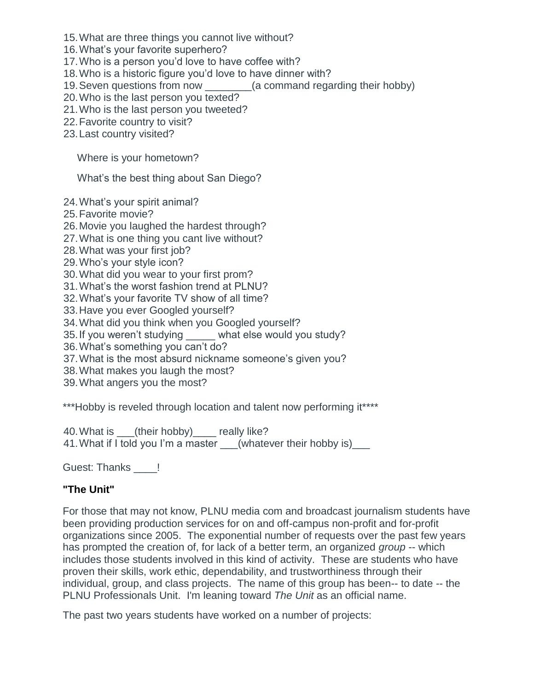15.What are three things you cannot live without?

16.What's your favorite superhero?

17.Who is a person you'd love to have coffee with?

18.Who is a historic figure you'd love to have dinner with?

19.Seven questions from now \_\_\_\_\_\_\_\_(a command regarding their hobby)

20.Who is the last person you texted?

21.Who is the last person you tweeted?

22.Favorite country to visit?

23.Last country visited?

Where is your hometown?

What's the best thing about San Diego?

24.What's your spirit animal?

25.Favorite movie?

26.Movie you laughed the hardest through?

27.What is one thing you cant live without?

28.What was your first job?

29.Who's your style icon?

30.What did you wear to your first prom?

31.What's the worst fashion trend at PLNU?

32.What's your favorite TV show of all time?

33.Have you ever Googled yourself?

34.What did you think when you Googled yourself?

35. If you weren't studying what else would you study?

36.What's something you can't do?

37.What is the most absurd nickname someone's given you?

38.What makes you laugh the most?

39.What angers you the most?

\*\*\*Hobby is reveled through location and talent now performing it\*\*\*\*

40.What is \_\_\_(their hobby)\_\_\_\_ really like? 41. What if I told you I'm a master (whatever their hobby is)\_\_\_

Guest: Thanks !

# **"The Unit"**

For those that may not know, PLNU media com and broadcast journalism students have been providing production services for on and off-campus non-profit and for-profit organizations since 2005. The exponential number of requests over the past few years has prompted the creation of, for lack of a better term, an organized *group* -- which includes those students involved in this kind of activity. These are students who have proven their skills, work ethic, dependability, and trustworthiness through their individual, group, and class projects. The name of this group has been-- to date -- the PLNU Professionals Unit. I'm leaning toward *The Unit* as an official name.

The past two years students have worked on a number of projects: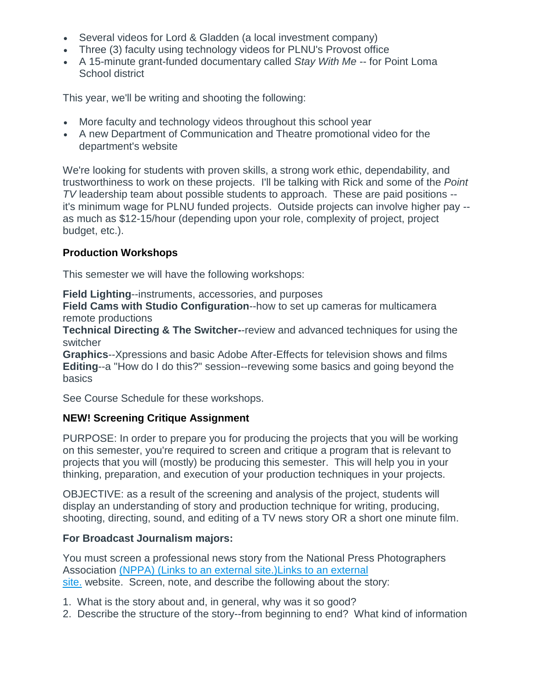- Several videos for Lord & Gladden (a local investment company)
- Three (3) faculty using technology videos for PLNU's Provost office
- A 15-minute grant-funded documentary called *Stay With Me* -- for Point Loma School district

This year, we'll be writing and shooting the following:

- More faculty and technology videos throughout this school year
- A new Department of Communication and Theatre promotional video for the department's website

We're looking for students with proven skills, a strong work ethic, dependability, and trustworthiness to work on these projects. I'll be talking with Rick and some of the *Point TV* leadership team about possible students to approach. These are paid positions - it's minimum wage for PLNU funded projects. Outside projects can involve higher pay - as much as \$12-15/hour (depending upon your role, complexity of project, project budget, etc.).

# **Production Workshops**

This semester we will have the following workshops:

**Field Lighting**--instruments, accessories, and purposes

**Field Cams with Studio Configuration**--how to set up cameras for multicamera remote productions

**Technical Directing & The Switcher-**-review and advanced techniques for using the switcher

**Graphics**--Xpressions and basic Adobe After-Effects for television shows and films **Editing**--a "How do I do this?" session--revewing some basics and going beyond the basics

See Course Schedule for these workshops.

# **NEW! Screening Critique Assignment**

PURPOSE: In order to prepare you for producing the projects that you will be working on this semester, you're required to screen and critique a program that is relevant to projects that you will (mostly) be producing this semester. This will help you in your thinking, preparation, and execution of your production techniques in your projects.

OBJECTIVE: as a result of the screening and analysis of the project, students will display an understanding of story and production technique for writing, producing, shooting, directing, sound, and editing of a TV news story OR a short one minute film.

# **For Broadcast Journalism majors:**

You must screen a professional news story from the National Press Photographers Association (NPPA) (Links to an external [site.\)Links](http://competitions.nppa.org/best-of-photojournalism/bop-category/tv-news-photography/) to an external [site.](http://competitions.nppa.org/best-of-photojournalism/bop-category/tv-news-photography/) website. Screen, note, and describe the following about the story:

- 1. What is the story about and, in general, why was it so good?
- 2. Describe the structure of the story--from beginning to end? What kind of information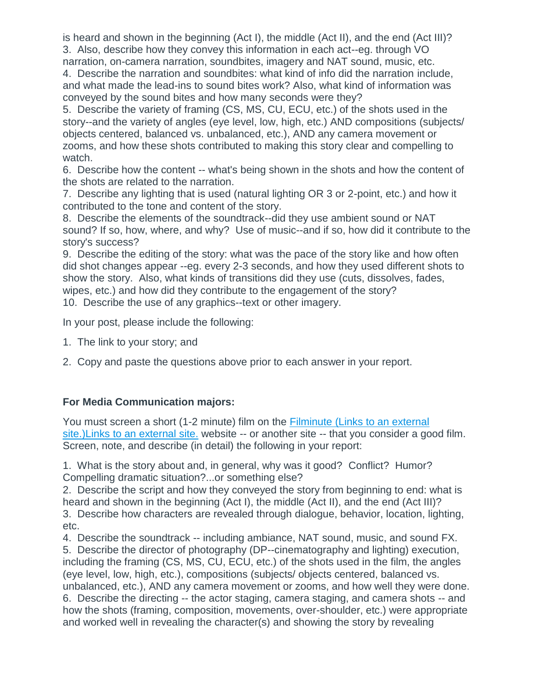is heard and shown in the beginning (Act I), the middle (Act II), and the end (Act III)? 3. Also, describe how they convey this information in each act--eg. through VO narration, on-camera narration, soundbites, imagery and NAT sound, music, etc.

4. Describe the narration and soundbites: what kind of info did the narration include, and what made the lead-ins to sound bites work? Also, what kind of information was conveyed by the sound bites and how many seconds were they?

5. Describe the variety of framing (CS, MS, CU, ECU, etc.) of the shots used in the story--and the variety of angles (eye level, low, high, etc.) AND compositions (subjects/ objects centered, balanced vs. unbalanced, etc.), AND any camera movement or zooms, and how these shots contributed to making this story clear and compelling to watch.

6. Describe how the content -- what's being shown in the shots and how the content of the shots are related to the narration.

7. Describe any lighting that is used (natural lighting OR 3 or 2-point, etc.) and how it contributed to the tone and content of the story.

8. Describe the elements of the soundtrack--did they use ambient sound or NAT sound? If so, how, where, and why? Use of music--and if so, how did it contribute to the story's success?

9. Describe the editing of the story: what was the pace of the story like and how often did shot changes appear --eg. every 2-3 seconds, and how they used different shots to show the story. Also, what kinds of transitions did they use (cuts, dissolves, fades, wipes, etc.) and how did they contribute to the engagement of the story? 10. Describe the use of any graphics--text or other imagery.

In your post, please include the following:

- 1. The link to your story; and
- 2. Copy and paste the questions above prior to each answer in your report.

# **For Media Communication majors:**

You must screen a short (1-2 minute) film on the [Filminute](http://www.filminute.com/films/2016/) (Links to an external [site.\)Links](http://www.filminute.com/films/2016/) to an external site. website -- or another site -- that you consider a good film. Screen, note, and describe (in detail) the following in your report:

1. What is the story about and, in general, why was it good? Conflict? Humor? Compelling dramatic situation?...or something else?

2. Describe the script and how they conveyed the story from beginning to end: what is heard and shown in the beginning (Act I), the middle (Act II), and the end (Act III)? 3. Describe how characters are revealed through dialogue, behavior, location, lighting, etc.

4. Describe the soundtrack -- including ambiance, NAT sound, music, and sound FX. 5. Describe the director of photography (DP--cinematography and lighting) execution, including the framing (CS, MS, CU, ECU, etc.) of the shots used in the film, the angles (eye level, low, high, etc.), compositions (subjects/ objects centered, balanced vs. unbalanced, etc.), AND any camera movement or zooms, and how well they were done. 6. Describe the directing -- the actor staging, camera staging, and camera shots -- and how the shots (framing, composition, movements, over-shoulder, etc.) were appropriate and worked well in revealing the character(s) and showing the story by revealing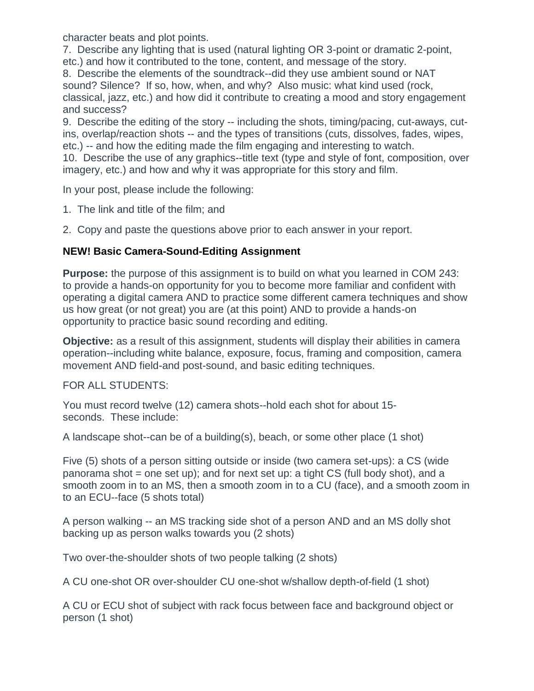character beats and plot points.

7. Describe any lighting that is used (natural lighting OR 3-point or dramatic 2-point, etc.) and how it contributed to the tone, content, and message of the story.

8. Describe the elements of the soundtrack--did they use ambient sound or NAT sound? Silence? If so, how, when, and why? Also music: what kind used (rock, classical, jazz, etc.) and how did it contribute to creating a mood and story engagement and success?

9. Describe the editing of the story -- including the shots, timing/pacing, cut-aways, cutins, overlap/reaction shots -- and the types of transitions (cuts, dissolves, fades, wipes, etc.) -- and how the editing made the film engaging and interesting to watch.

10. Describe the use of any graphics--title text (type and style of font, composition, over imagery, etc.) and how and why it was appropriate for this story and film.

In your post, please include the following:

1. The link and title of the film; and

2. Copy and paste the questions above prior to each answer in your report.

# **NEW! Basic Camera-Sound-Editing Assignment**

**Purpose:** the purpose of this assignment is to build on what you learned in COM 243: to provide a hands-on opportunity for you to become more familiar and confident with operating a digital camera AND to practice some different camera techniques and show us how great (or not great) you are (at this point) AND to provide a hands-on opportunity to practice basic sound recording and editing.

**Objective:** as a result of this assignment, students will display their abilities in camera operation--including white balance, exposure, focus, framing and composition, camera movement AND field-and post-sound, and basic editing techniques.

FOR ALL STUDENTS:

You must record twelve (12) camera shots--hold each shot for about 15 seconds. These include:

A landscape shot--can be of a building(s), beach, or some other place (1 shot)

Five (5) shots of a person sitting outside or inside (two camera set-ups): a CS (wide panorama shot = one set up); and for next set up: a tight  $CS$  (full body shot), and a smooth zoom in to an MS, then a smooth zoom in to a CU (face), and a smooth zoom in to an ECU--face (5 shots total)

A person walking -- an MS tracking side shot of a person AND and an MS dolly shot backing up as person walks towards you (2 shots)

Two over-the-shoulder shots of two people talking (2 shots)

A CU one-shot OR over-shoulder CU one-shot w/shallow depth-of-field (1 shot)

A CU or ECU shot of subject with rack focus between face and background object or person (1 shot)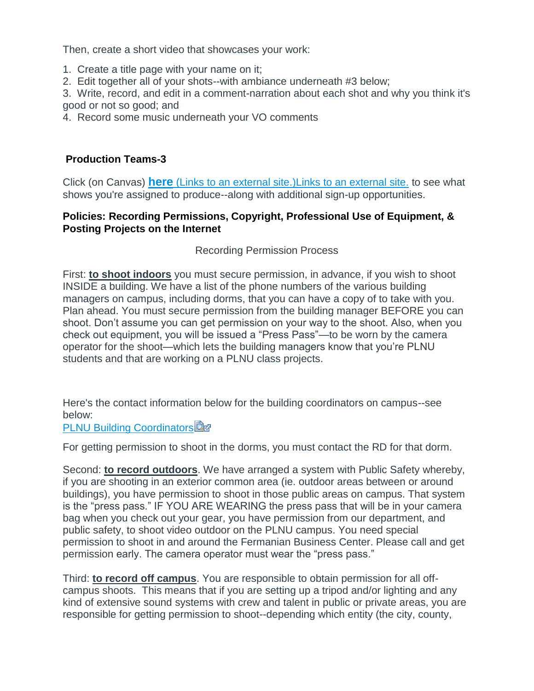Then, create a short video that showcases your work:

- 1. Create a title page with your name on it;
- 2. Edit together all of your shots--with ambiance underneath #3 below;

3. Write, record, and edit in a comment-narration about each shot and why you think it's good or not so good; and

4. Record some music underneath your VO comments

## **Production Teams-3**

Click (on Canvas) **here** (Links to an external [site.\)Links](http://pointtv23.com/crew-positions/) to an external site. to see what shows you're assigned to produce--along with additional sign-up opportunities.

#### **Policies: Recording Permissions, Copyright, Professional Use of Equipment, & Posting Projects on the Internet**

#### Recording Permission Process

First: **to shoot indoors** you must secure permission, in advance, if you wish to shoot INSIDE a building. We have a list of the phone numbers of the various building managers on campus, including dorms, that you can have a copy of to take with you. Plan ahead. You must secure permission from the building manager BEFORE you can shoot. Don't assume you can get permission on your way to the shoot. Also, when you check out equipment, you will be issued a "Press Pass"—to be worn by the camera operator for the shoot—which lets the building managers know that you're PLNU students and that are working on a PLNU class projects.

Here's the contact information below for the building coordinators on campus--see below:

**[PLNU Building Coordinators](https://canvas.pointloma.edu/courses/34293/files/1425670/download?wrap=1)** 

For getting permission to shoot in the dorms, you must contact the RD for that dorm.

Second: **to record outdoors**. We have arranged a system with Public Safety whereby, if you are shooting in an exterior common area (ie. outdoor areas between or around buildings), you have permission to shoot in those public areas on campus. That system is the "press pass." IF YOU ARE WEARING the press pass that will be in your camera bag when you check out your gear, you have permission from our department, and public safety, to shoot video outdoor on the PLNU campus. You need special permission to shoot in and around the Fermanian Business Center. Please call and get permission early. The camera operator must wear the "press pass."

Third: **to record off campus**. You are responsible to obtain permission for all offcampus shoots. This means that if you are setting up a tripod and/or lighting and any kind of extensive sound systems with crew and talent in public or private areas, you are responsible for getting permission to shoot--depending which entity (the city, county,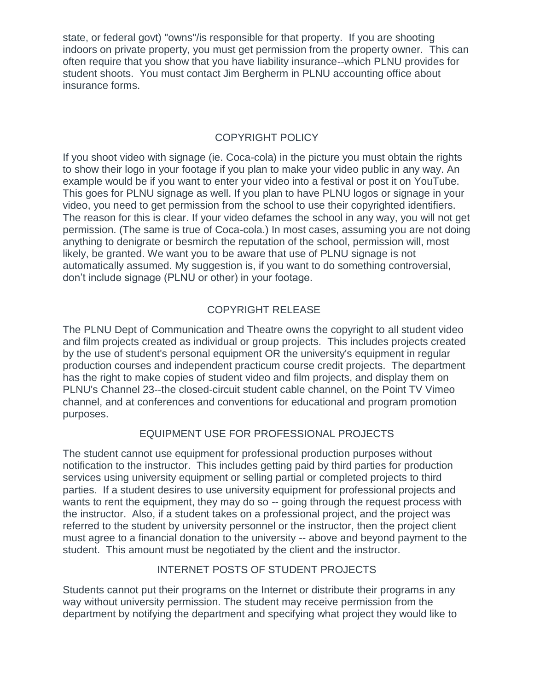state, or federal govt) "owns"/is responsible for that property. If you are shooting indoors on private property, you must get permission from the property owner. This can often require that you show that you have liability insurance--which PLNU provides for student shoots. You must contact Jim Bergherm in PLNU accounting office about insurance forms.

# COPYRIGHT POLICY

If you shoot video with signage (ie. Coca-cola) in the picture you must obtain the rights to show their logo in your footage if you plan to make your video public in any way. An example would be if you want to enter your video into a festival or post it on YouTube. This goes for PLNU signage as well. If you plan to have PLNU logos or signage in your video, you need to get permission from the school to use their copyrighted identifiers. The reason for this is clear. If your video defames the school in any way, you will not get permission. (The same is true of Coca-cola.) In most cases, assuming you are not doing anything to denigrate or besmirch the reputation of the school, permission will, most likely, be granted. We want you to be aware that use of PLNU signage is not automatically assumed. My suggestion is, if you want to do something controversial, don't include signage (PLNU or other) in your footage.

# COPYRIGHT RELEASE

The PLNU Dept of Communication and Theatre owns the copyright to all student video and film projects created as individual or group projects. This includes projects created by the use of student's personal equipment OR the university's equipment in regular production courses and independent practicum course credit projects. The department has the right to make copies of student video and film projects, and display them on PLNU's Channel 23--the closed-circuit student cable channel, on the Point TV Vimeo channel, and at conferences and conventions for educational and program promotion purposes.

# EQUIPMENT USE FOR PROFESSIONAL PROJECTS

The student cannot use equipment for professional production purposes without notification to the instructor. This includes getting paid by third parties for production services using university equipment or selling partial or completed projects to third parties. If a student desires to use university equipment for professional projects and wants to rent the equipment, they may do so -- going through the request process with the instructor. Also, if a student takes on a professional project, and the project was referred to the student by university personnel or the instructor, then the project client must agree to a financial donation to the university -- above and beyond payment to the student. This amount must be negotiated by the client and the instructor.

# INTERNET POSTS OF STUDENT PROJECTS

Students cannot put their programs on the Internet or distribute their programs in any way without university permission. The student may receive permission from the department by notifying the department and specifying what project they would like to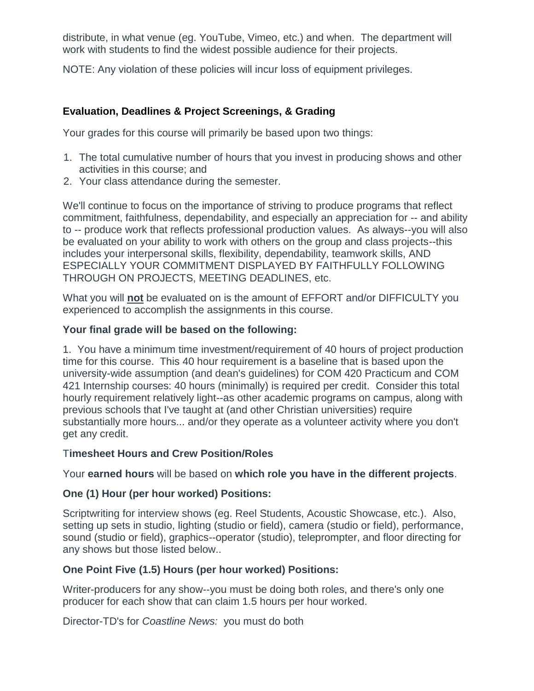distribute, in what venue (eg. YouTube, Vimeo, etc.) and when. The department will work with students to find the widest possible audience for their projects.

NOTE: Any violation of these policies will incur loss of equipment privileges.

# **Evaluation, Deadlines & Project Screenings, & Grading**

Your grades for this course will primarily be based upon two things:

- 1. The total cumulative number of hours that you invest in producing shows and other activities in this course; and
- 2. Your class attendance during the semester.

We'll continue to focus on the importance of striving to produce programs that reflect commitment, faithfulness, dependability, and especially an appreciation for -- and ability to -- produce work that reflects professional production values. As always--you will also be evaluated on your ability to work with others on the group and class projects--this includes your interpersonal skills, flexibility, dependability, teamwork skills, AND ESPECIALLY YOUR COMMITMENT DISPLAYED BY FAITHFULLY FOLLOWING THROUGH ON PROJECTS, MEETING DEADLINES, etc.

What you will **not** be evaluated on is the amount of EFFORT and/or DIFFICULTY you experienced to accomplish the assignments in this course.

# **Your final grade will be based on the following:**

1. You have a minimum time investment/requirement of 40 hours of project production time for this course. This 40 hour requirement is a baseline that is based upon the university-wide assumption (and dean's guidelines) for COM 420 Practicum and COM 421 Internship courses: 40 hours (minimally) is required per credit. Consider this total hourly requirement relatively light--as other academic programs on campus, along with previous schools that I've taught at (and other Christian universities) require substantially more hours... and/or they operate as a volunteer activity where you don't get any credit.

## T**imesheet Hours and Crew Position/Roles**

Your **earned hours** will be based on **which role you have in the different projects**.

# **One (1) Hour (per hour worked) Positions:**

Scriptwriting for interview shows (eg. Reel Students, Acoustic Showcase, etc.). Also, setting up sets in studio, lighting (studio or field), camera (studio or field), performance, sound (studio or field), graphics--operator (studio), teleprompter, and floor directing for any shows but those listed below..

# **One Point Five (1.5) Hours (per hour worked) Positions:**

Writer-producers for any show--you must be doing both roles, and there's only one producer for each show that can claim 1.5 hours per hour worked.

Director-TD's for *Coastline News:* you must do both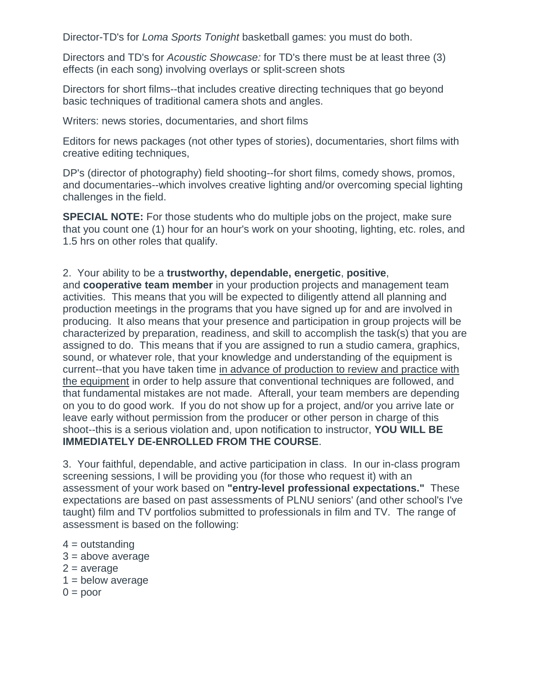Director-TD's for *Loma Sports Tonight* basketball games: you must do both.

Directors and TD's for *Acoustic Showcase:* for TD's there must be at least three (3) effects (in each song) involving overlays or split-screen shots

Directors for short films--that includes creative directing techniques that go beyond basic techniques of traditional camera shots and angles.

Writers: news stories, documentaries, and short films

Editors for news packages (not other types of stories), documentaries, short films with creative editing techniques,

DP's (director of photography) field shooting--for short films, comedy shows, promos, and documentaries--which involves creative lighting and/or overcoming special lighting challenges in the field.

**SPECIAL NOTE:** For those students who do multiple jobs on the project, make sure that you count one (1) hour for an hour's work on your shooting, lighting, etc. roles, and 1.5 hrs on other roles that qualify.

## 2. Your ability to be a **trustworthy, dependable, energetic**, **positive**,

and **cooperative team member** in your production projects and management team activities. This means that you will be expected to diligently attend all planning and production meetings in the programs that you have signed up for and are involved in producing. It also means that your presence and participation in group projects will be characterized by preparation, readiness, and skill to accomplish the task(s) that you are assigned to do. This means that if you are assigned to run a studio camera, graphics, sound, or whatever role, that your knowledge and understanding of the equipment is current--that you have taken time in advance of production to review and practice with the equipment in order to help assure that conventional techniques are followed, and that fundamental mistakes are not made. Afterall, your team members are depending on you to do good work. If you do not show up for a project, and/or you arrive late or leave early without permission from the producer or other person in charge of this shoot--this is a serious violation and, upon notification to instructor, **YOU WILL BE IMMEDIATELY DE-ENROLLED FROM THE COURSE**.

3. Your faithful, dependable, and active participation in class. In our in-class program screening sessions, I will be providing you (for those who request it) with an assessment of your work based on **"entry-level professional expectations."** These expectations are based on past assessments of PLNU seniors' (and other school's I've taught) film and TV portfolios submitted to professionals in film and TV. The range of assessment is based on the following:

- $4 =$  outstanding
- $3 = above average$
- $2 = average$
- $1 =$  below average
- $0 =$  poor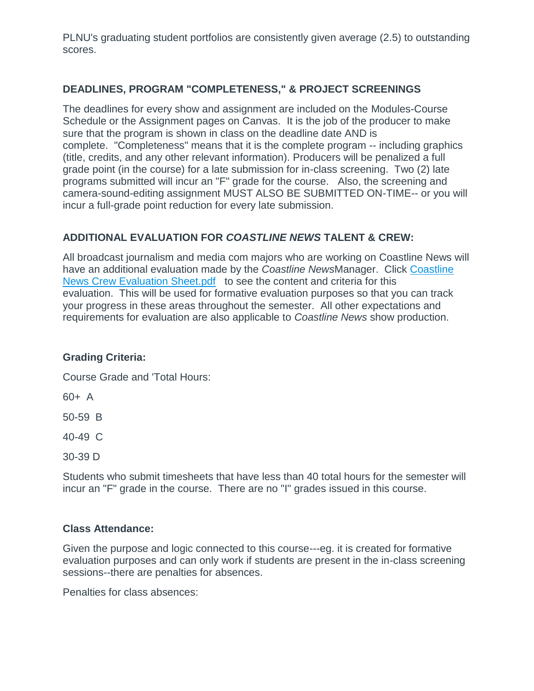PLNU's graduating student portfolios are consistently given average (2.5) to outstanding scores.

# **DEADLINES, PROGRAM "COMPLETENESS," & PROJECT SCREENINGS**

The deadlines for every show and assignment are included on the Modules-Course Schedule or the Assignment pages on Canvas. It is the job of the producer to make sure that the program is shown in class on the deadline date AND is complete. "Completeness" means that it is the complete program -- including graphics (title, credits, and any other relevant information). Producers will be penalized a full grade point (in the course) for a late submission for in-class screening. Two (2) late programs submitted will incur an "F" grade for the course. Also, the screening and camera-sound-editing assignment MUST ALSO BE SUBMITTED ON-TIME-- or you will incur a full-grade point reduction for every late submission.

# **ADDITIONAL EVALUATION FOR** *COASTLINE NEWS* **TALENT & CREW:**

All broadcast journalism and media com majors who are working on Coastline News will have an additional evaluation made by the *Coastline News*Manager. Click [Coastline](https://canvas.pointloma.edu/courses/34293/files/1425671/preview)  [News Crew Evaluation Sheet.pdf](https://canvas.pointloma.edu/courses/34293/files/1425671/preview) to see the content and criteria for this evaluation. This will be used for formative evaluation purposes so that you can track your progress in these areas throughout the semester. All other expectations and requirements for evaluation are also applicable to *Coastline News* show production.

# **Grading Criteria:**

Course Grade and 'Total Hours:

60+ A

50-59 B

40-49 C

30-39 D

Students who submit timesheets that have less than 40 total hours for the semester will incur an "F" grade in the course. There are no "I" grades issued in this course.

# **Class Attendance:**

Given the purpose and logic connected to this course---eg. it is created for formative evaluation purposes and can only work if students are present in the in-class screening sessions--there are penalties for absences.

Penalties for class absences: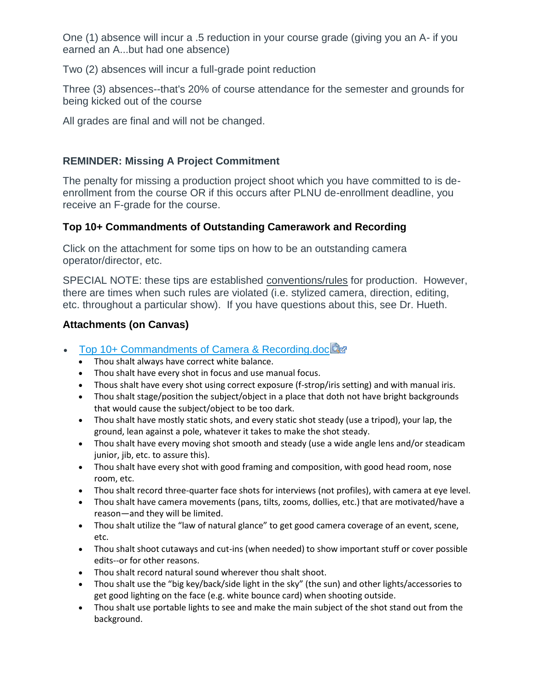One (1) absence will incur a .5 reduction in your course grade (giving you an A- if you earned an A...but had one absence)

Two (2) absences will incur a full-grade point reduction

Three (3) absences--that's 20% of course attendance for the semester and grounds for being kicked out of the course

All grades are final and will not be changed.

# **REMINDER: Missing A Project Commitment**

The penalty for missing a production project shoot which you have committed to is deenrollment from the course OR if this occurs after PLNU de-enrollment deadline, you receive an F-grade for the course.

# **Top 10+ Commandments of Outstanding Camerawork and Recording**

Click on the attachment for some tips on how to be an outstanding camera operator/director, etc.

SPECIAL NOTE: these tips are established conventions/rules for production. However, there are times when such rules are violated (i.e. stylized camera, direction, editing, etc. throughout a particular show). If you have questions about this, see Dr. Hueth.

# **Attachments (on Canvas)**

- [Top 10+ Commandments of Camera & Recording.doc](https://canvas.pointloma.edu/courses/34293/files/1425686/download?wrap=1)
	- Thou shalt always have correct white balance.
	- Thou shalt have every shot in focus and use manual focus.
	- Thous shalt have every shot using correct exposure (f-strop/iris setting) and with manual iris.
	- Thou shalt stage/position the subject/object in a place that doth not have bright backgrounds that would cause the subject/object to be too dark.
	- Thou shalt have mostly static shots, and every static shot steady (use a tripod), your lap, the ground, lean against a pole, whatever it takes to make the shot steady.
	- Thou shalt have every moving shot smooth and steady (use a wide angle lens and/or steadicam junior, jib, etc. to assure this).
	- Thou shalt have every shot with good framing and composition, with good head room, nose room, etc.
	- Thou shalt record three-quarter face shots for interviews (not profiles), with camera at eye level.
	- Thou shalt have camera movements (pans, tilts, zooms, dollies, etc.) that are motivated/have a reason—and they will be limited.
	- Thou shalt utilize the "law of natural glance" to get good camera coverage of an event, scene, etc.
	- Thou shalt shoot cutaways and cut-ins (when needed) to show important stuff or cover possible edits--or for other reasons.
	- Thou shalt record natural sound wherever thou shalt shoot.
	- Thou shalt use the "big key/back/side light in the sky" (the sun) and other lights/accessories to get good lighting on the face (e.g. white bounce card) when shooting outside.
	- Thou shalt use portable lights to see and make the main subject of the shot stand out from the background.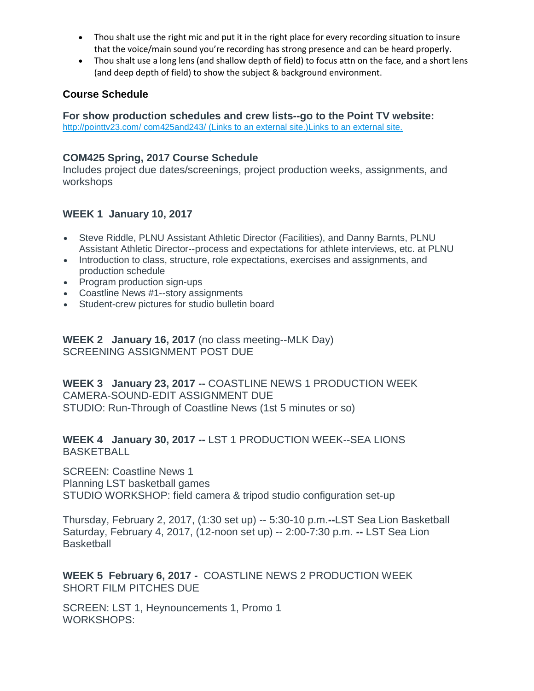- Thou shalt use the right mic and put it in the right place for every recording situation to insure that the voice/main sound you're recording has strong presence and can be heard properly.
- Thou shalt use a long lens (and shallow depth of field) to focus attn on the face, and a short lens (and deep depth of field) to show the subject & background environment.

## **Course Schedule**

**For show production schedules and crew lists--go to the Point TV website:** [http://pointtv23.com/ com425and243/](http://pointtv23.com/com425and243/) (Links to an external site.)Links to an external site.

## **COM425 Spring, 2017 Course Schedule**

Includes project due dates/screenings, project production weeks, assignments, and workshops

# **WEEK 1 January 10, 2017**

- Steve Riddle, PLNU Assistant Athletic Director (Facilities), and Danny Barnts, PLNU Assistant Athletic Director--process and expectations for athlete interviews, etc. at PLNU
- Introduction to class, structure, role expectations, exercises and assignments, and production schedule
- Program production sign-ups
- Coastline News #1--story assignments
- Student-crew pictures for studio bulletin board

**WEEK 2 January 16, 2017** (no class meeting--MLK Day) SCREENING ASSIGNMENT POST DUE

**WEEK 3 January 23, 2017 --** COASTLINE NEWS 1 PRODUCTION WEEK CAMERA-SOUND-EDIT ASSIGNMENT DUE STUDIO: Run-Through of Coastline News (1st 5 minutes or so)

**WEEK 4 January 30, 2017 --** LST 1 PRODUCTION WEEK--SEA LIONS **BASKETBALL** 

SCREEN: Coastline News 1 Planning LST basketball games STUDIO WORKSHOP: field camera & tripod studio configuration set-up

Thursday, February 2, 2017, (1:30 set up) -- 5:30-10 p.m.**--**LST Sea Lion Basketball Saturday, February 4, 2017, (12-noon set up) -- 2:00-7:30 p.m. **--** LST Sea Lion **Basketball** 

**WEEK 5 February 6, 2017 -** COASTLINE NEWS 2 PRODUCTION WEEK SHORT FILM PITCHES DUE

SCREEN: LST 1, Heynouncements 1, Promo 1 WORKSHOPS: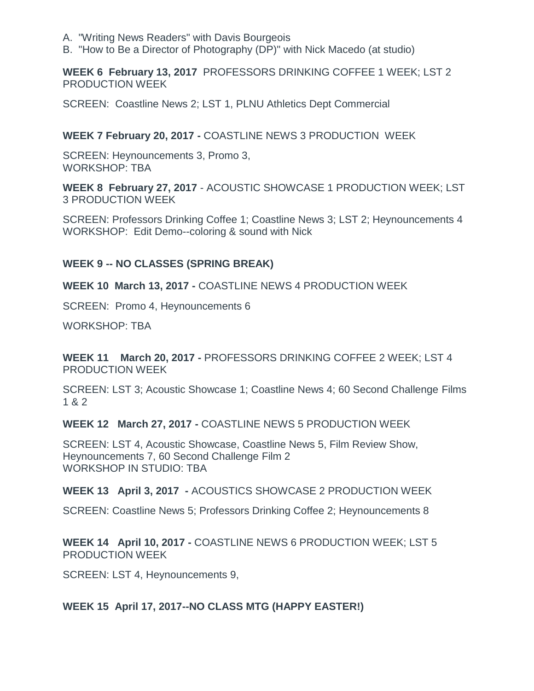- A. "Writing News Readers" with Davis Bourgeois
- B. "How to Be a Director of Photography (DP)" with Nick Macedo (at studio)

**WEEK 6 February 13, 2017** PROFESSORS DRINKING COFFEE 1 WEEK; LST 2 PRODUCTION WEEK

SCREEN: Coastline News 2; LST 1, PLNU Athletics Dept Commercial

#### **WEEK 7 February 20, 2017 -** COASTLINE NEWS 3 PRODUCTION WEEK

SCREEN: Heynouncements 3, Promo 3, WORKSHOP: TBA

**WEEK 8 February 27, 2017** - ACOUSTIC SHOWCASE 1 PRODUCTION WEEK; LST 3 PRODUCTION WEEK

SCREEN: Professors Drinking Coffee 1; Coastline News 3; LST 2; Heynouncements 4 WORKSHOP: Edit Demo--coloring & sound with Nick

#### **WEEK 9 -- NO CLASSES (SPRING BREAK)**

**WEEK 10 March 13, 2017 -** COASTLINE NEWS 4 PRODUCTION WEEK

SCREEN: Promo 4, Heynouncements 6

WORKSHOP: TBA

**WEEK 11 March 20, 2017 -** PROFESSORS DRINKING COFFEE 2 WEEK; LST 4 PRODUCTION WEEK

SCREEN: LST 3; Acoustic Showcase 1; Coastline News 4; 60 Second Challenge Films 1 & 2

**WEEK 12 March 27, 2017 -** COASTLINE NEWS 5 PRODUCTION WEEK

SCREEN: LST 4, Acoustic Showcase, Coastline News 5, Film Review Show, Heynouncements 7, 60 Second Challenge Film 2 WORKSHOP IN STUDIO: TBA

**WEEK 13 April 3, 2017 -** ACOUSTICS SHOWCASE 2 PRODUCTION WEEK

SCREEN: Coastline News 5; Professors Drinking Coffee 2; Heynouncements 8

**WEEK 14 April 10, 2017 -** COASTLINE NEWS 6 PRODUCTION WEEK; LST 5 PRODUCTION WEEK

SCREEN: LST 4, Heynouncements 9,

## **WEEK 15 April 17, 2017--NO CLASS MTG (HAPPY EASTER!)**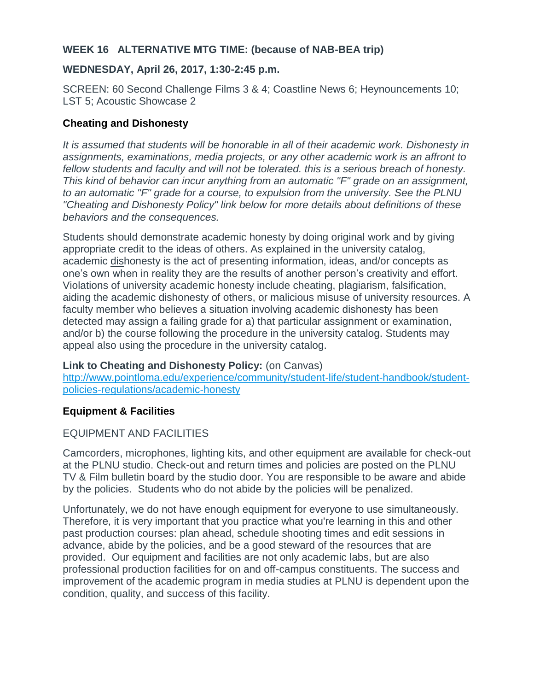## **WEEK 16 ALTERNATIVE MTG TIME: (because of NAB-BEA trip)**

## **WEDNESDAY, April 26, 2017, 1:30-2:45 p.m.**

SCREEN: 60 Second Challenge Films 3 & 4; Coastline News 6; Heynouncements 10; LST 5; Acoustic Showcase 2

## **Cheating and Dishonesty**

*It is assumed that students will be honorable in all of their academic work. Dishonesty in assignments, examinations, media projects, or any other academic work is an affront to fellow students and faculty and will not be tolerated. this is a serious breach of honesty. This kind of behavior can incur anything from an automatic "F" grade on an assignment, to an automatic "F" grade for a course, to expulsion from the university. See the PLNU "Cheating and Dishonesty Policy" link below for more details about definitions of these behaviors and the consequences.*

Students should demonstrate academic honesty by doing original work and by giving appropriate credit to the ideas of others. As explained in the university catalog, academic dishonesty is the act of presenting information, ideas, and/or concepts as one's own when in reality they are the results of another person's creativity and effort. Violations of university academic honesty include cheating, plagiarism, falsification, aiding the academic dishonesty of others, or malicious misuse of university resources. A faculty member who believes a situation involving academic dishonesty has been detected may assign a failing grade for a) that particular assignment or examination, and/or b) the course following the procedure in the university catalog. Students may appeal also using the procedure in the university catalog.

## **Link to Cheating and Dishonesty Policy:** (on Canvas)

[http://www.pointloma.edu/experience/community/student-life/student-handbook/student](http://www.pointloma.edu/experience/community/student-life/student-handbook/student-policies-regulations/academic-honesty)[policies-regulations/academic-honesty](http://www.pointloma.edu/experience/community/student-life/student-handbook/student-policies-regulations/academic-honesty)

# **Equipment & Facilities**

# EQUIPMENT AND FACILITIES

Camcorders, microphones, lighting kits, and other equipment are available for check-out at the PLNU studio. Check-out and return times and policies are posted on the PLNU TV & Film bulletin board by the studio door. You are responsible to be aware and abide by the policies. Students who do not abide by the policies will be penalized.

Unfortunately, we do not have enough equipment for everyone to use simultaneously. Therefore, it is very important that you practice what you're learning in this and other past production courses: plan ahead, schedule shooting times and edit sessions in advance, abide by the policies, and be a good steward of the resources that are provided. Our equipment and facilities are not only academic labs, but are also professional production facilities for on and off-campus constituents. The success and improvement of the academic program in media studies at PLNU is dependent upon the condition, quality, and success of this facility.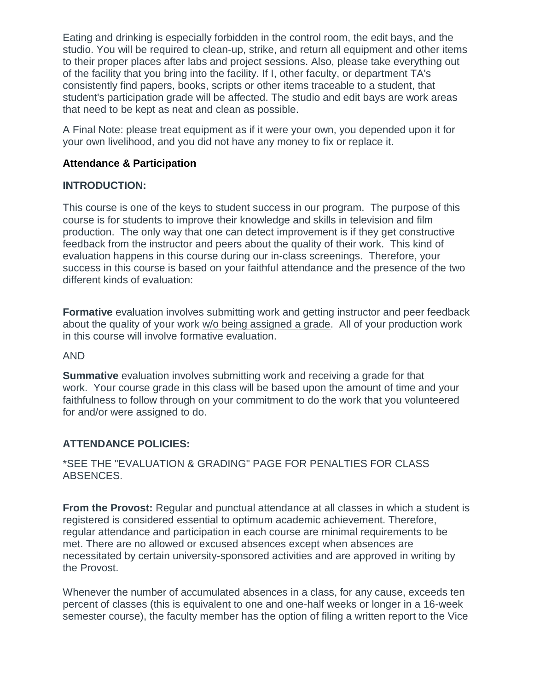Eating and drinking is especially forbidden in the control room, the edit bays, and the studio. You will be required to clean-up, strike, and return all equipment and other items to their proper places after labs and project sessions. Also, please take everything out of the facility that you bring into the facility. If I, other faculty, or department TA's consistently find papers, books, scripts or other items traceable to a student, that student's participation grade will be affected. The studio and edit bays are work areas that need to be kept as neat and clean as possible.

A Final Note: please treat equipment as if it were your own, you depended upon it for your own livelihood, and you did not have any money to fix or replace it.

## **Attendance & Participation**

#### **INTRODUCTION:**

This course is one of the keys to student success in our program. The purpose of this course is for students to improve their knowledge and skills in television and film production. The only way that one can detect improvement is if they get constructive feedback from the instructor and peers about the quality of their work. This kind of evaluation happens in this course during our in-class screenings. Therefore, your success in this course is based on your faithful attendance and the presence of the two different kinds of evaluation:

**Formative** evaluation involves submitting work and getting instructor and peer feedback about the quality of your work w/o being assigned a grade. All of your production work in this course will involve formative evaluation.

#### AND

**Summative** evaluation involves submitting work and receiving a grade for that work. Your course grade in this class will be based upon the amount of time and your faithfulness to follow through on your commitment to do the work that you volunteered for and/or were assigned to do.

## **ATTENDANCE POLICIES:**

## \*SEE THE "EVALUATION & GRADING" PAGE FOR PENALTIES FOR CLASS ABSENCES.

**From the Provost:** Regular and punctual attendance at all classes in which a student is registered is considered essential to optimum academic achievement. Therefore, regular attendance and participation in each course are minimal requirements to be met. There are no allowed or excused absences except when absences are necessitated by certain university-sponsored activities and are approved in writing by the Provost.

Whenever the number of accumulated absences in a class, for any cause, exceeds ten percent of classes (this is equivalent to one and one-half weeks or longer in a 16-week semester course), the faculty member has the option of filing a written report to the Vice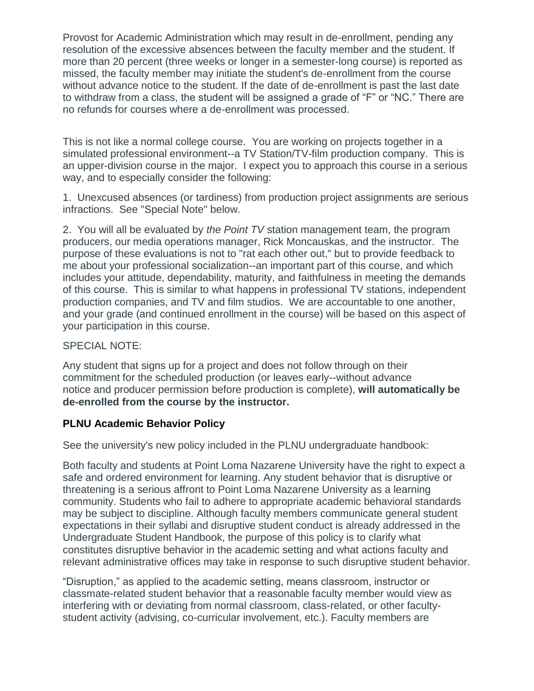Provost for Academic Administration which may result in de-enrollment, pending any resolution of the excessive absences between the faculty member and the student. If more than 20 percent (three weeks or longer in a semester-long course) is reported as missed, the faculty member may initiate the student's de-enrollment from the course without advance notice to the student. If the date of de-enrollment is past the last date to withdraw from a class, the student will be assigned a grade of "F" or "NC." There are no refunds for courses where a de-enrollment was processed.

This is not like a normal college course. You are working on projects together in a simulated professional environment--a TV Station/TV-film production company. This is an upper-division course in the major. I expect you to approach this course in a serious way, and to especially consider the following:

1. Unexcused absences (or tardiness) from production project assignments are serious infractions. See "Special Note" below.

2. You will all be evaluated by *the Point TV* station management team, the program producers, our media operations manager, Rick Moncauskas, and the instructor. The purpose of these evaluations is not to "rat each other out," but to provide feedback to me about your professional socialization--an important part of this course, and which includes your attitude, dependability, maturity, and faithfulness in meeting the demands of this course. This is similar to what happens in professional TV stations, independent production companies, and TV and film studios. We are accountable to one another, and your grade (and continued enrollment in the course) will be based on this aspect of your participation in this course.

## SPECIAL NOTE:

Any student that signs up for a project and does not follow through on their commitment for the scheduled production (or leaves early--without advance notice and producer permission before production is complete), **will automatically be de-enrolled from the course by the instructor.**

# **PLNU Academic Behavior Policy**

See the university's new policy included in the PLNU undergraduate handbook:

Both faculty and students at Point Loma Nazarene University have the right to expect a safe and ordered environment for learning. Any student behavior that is disruptive or threatening is a serious affront to Point Loma Nazarene University as a learning community. Students who fail to adhere to appropriate academic behavioral standards may be subject to discipline. Although faculty members communicate general student expectations in their syllabi and disruptive student conduct is already addressed in the Undergraduate Student Handbook, the purpose of this policy is to clarify what constitutes disruptive behavior in the academic setting and what actions faculty and relevant administrative offices may take in response to such disruptive student behavior.

"Disruption," as applied to the academic setting, means classroom, instructor or classmate-related student behavior that a reasonable faculty member would view as interfering with or deviating from normal classroom, class-related, or other facultystudent activity (advising, co-curricular involvement, etc.). Faculty members are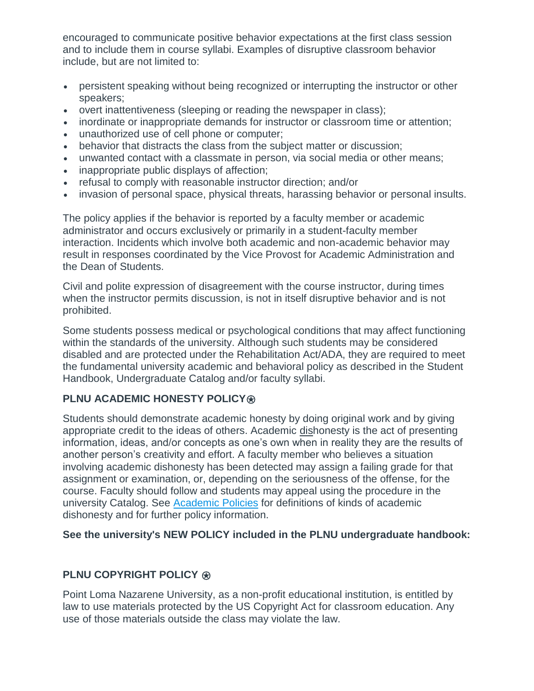encouraged to communicate positive behavior expectations at the first class session and to include them in course syllabi. Examples of disruptive classroom behavior include, but are not limited to:

- persistent speaking without being recognized or interrupting the instructor or other speakers;
- overt inattentiveness (sleeping or reading the newspaper in class);
- inordinate or inappropriate demands for instructor or classroom time or attention;
- unauthorized use of cell phone or computer;
- behavior that distracts the class from the subject matter or discussion;
- unwanted contact with a classmate in person, via social media or other means;
- inappropriate public displays of affection;
- refusal to comply with reasonable instructor direction; and/or
- invasion of personal space, physical threats, harassing behavior or personal insults.

The policy applies if the behavior is reported by a faculty member or academic administrator and occurs exclusively or primarily in a student-faculty member interaction. Incidents which involve both academic and non-academic behavior may result in responses coordinated by the Vice Provost for Academic Administration and the Dean of Students.

Civil and polite expression of disagreement with the course instructor, during times when the instructor permits discussion, is not in itself disruptive behavior and is not prohibited.

Some students possess medical or psychological conditions that may affect functioning within the standards of the university. Although such students may be considered disabled and are protected under the Rehabilitation Act/ADA, they are required to meet the fundamental university academic and behavioral policy as described in the Student Handbook, Undergraduate Catalog and/or faculty syllabi.

# **PLNU ACADEMIC HONESTY POLICY<sup>®</sup>**

Students should demonstrate academic honesty by doing original work and by giving appropriate credit to the ideas of others. Academic dishonesty is the act of presenting information, ideas, and/or concepts as one's own when in reality they are the results of another person's creativity and effort. A faculty member who believes a situation involving academic dishonesty has been detected may assign a failing grade for that assignment or examination, or, depending on the seriousness of the offense, for the course. Faculty should follow and students may appeal using the procedure in the university Catalog. See [Academic Policies](http://catalog.pointloma.edu/content.php?catoid=18&navoid=1278) for definitions of kinds of academic dishonesty and for further policy information.

# **See the university's NEW POLICY included in the PLNU undergraduate handbook:**

# **PLNU COPYRIGHT POLICY ⊛**

Point Loma Nazarene University, as a non-profit educational institution, is entitled by law to use materials protected by the US Copyright Act for classroom education. Any use of those materials outside the class may violate the law.